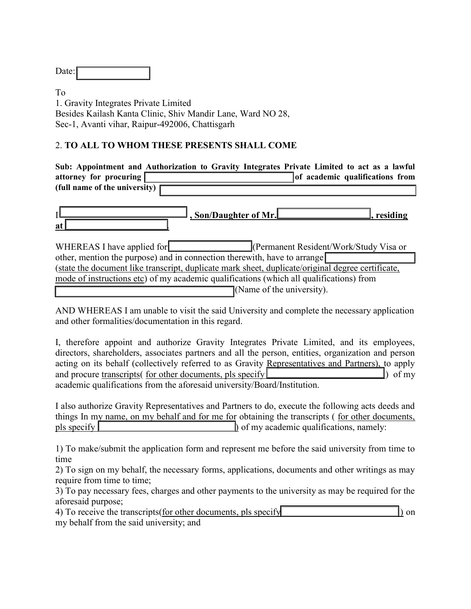To 1. Gravity Integrates Private Limited Besides Kailash Kanta Clinic, Shiv Mandir Lane, Ward NO 28, Sec-1, Avanti vihar, Raipur-492006, Chattisgarh

## 2. TO ALL TO WHOM THESE PRESENTS SHALL COME

Sub: Appointment and Authorization to Gravity Integrates Private Limited to act as a lawful attorney for procuring **the contract of academic qualifications** from (full name of the university)

|    | , Son/Daughter of Mr.L |  |
|----|------------------------|--|
| at |                        |  |

WHEREAS I have applied for **Example 1** (Permanent Resident/Work/Study Visa or other, mention the purpose) and in connection therewith, have to arrange (state the document like transcript, duplicate mark sheet, duplicate/original degree certificate, mode of instructions etc) of my academic qualifications (which all qualifications) from (Name of the university).

AND WHEREAS I am unable to visit the said University and complete the necessary application and other formalities/documentation in this regard.

I, therefore appoint and authorize Gravity Integrates Private Limited, and its employees, directors, shareholders, associates partners and all the person, entities, organization and person acting on its behalf (collectively referred to as Gravity Representatives and Partners), to apply and procure transcripts( for other documents, pls specify ) of my academic qualifications from the aforesaid university/Board/Institution.

I also authorize Gravity Representatives and Partners to do, execute the following acts deeds and things In my name, on my behalf and for me for obtaining the transcripts ( for other documents, pls specify **the specify of my academic qualifications**, namely:

1) To make/submit the application form and represent me before the said university from time to time

2) To sign on my behalf, the necessary forms, applications, documents and other writings as may require from time to time;

3) To pay necessary fees, charges and other payments to the university as may be required for the aforesaid purpose;

4) To receive the transcripts(for other documents, pls specify ) on my behalf from the said university; and